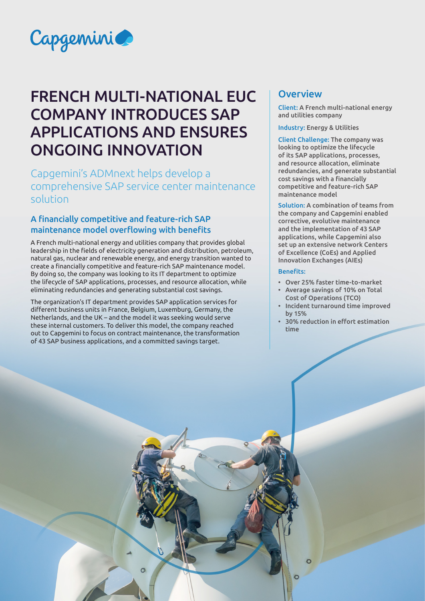

# FRENCH MULTI-NATIONAL EUC COMPANY INTRODUCES SAP APPLICATIONS AND ENSURES ONGOING INNOVATION

Capgemini's ADMnext helps develop a comprehensive SAP service center maintenance solution

## A financially competitive and feature-rich SAP maintenance model overflowing with benefits

A French multi-national energy and utilities company that provides global leadership in the fields of electricity generation and distribution, petroleum, natural gas, nuclear and renewable energy, and energy transition wanted to create a financially competitive and feature-rich SAP maintenance model. By doing so, the company was looking to its IT department to optimize the lifecycle of SAP applications, processes, and resource allocation, while eliminating redundancies and generating substantial cost savings.

The organization's IT department provides SAP application services for different business units in France, Belgium, Luxemburg, Germany, the Netherlands, and the UK – and the model it was seeking would serve these internal customers. To deliver this model, the company reached out to Capgemini to focus on contract maintenance, the transformation of 43 SAP business applications, and a committed savings target.

# **Overview**

Client: A French multi-national energy and utilities company

Industry: Energy & Utilities

Client Challenge: The company was looking to optimize the lifecycle of its SAP applications, processes, and resource allocation, eliminate redundancies, and generate substantial cost savings with a financially competitive and feature-rich SAP maintenance model

Solution: A combination of teams from the company and Capgemini enabled corrective, evolutive maintenance and the implementation of 43 SAP applications, while Capgemini also set up an extensive network Centers of Excellence (CoEs) and Applied Innovation Exchanges (AIEs)

#### Benefits:

 $\circ$ 

- Over 25% faster time-to-market
- Average savings of 10% on Total Cost of Operations (TCO)
- Incident turnaround time improved by 15%
- 30% reduction in effort estimation time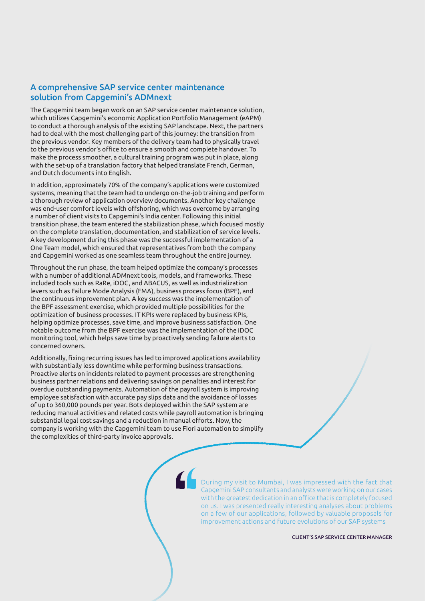### A comprehensive SAP service center maintenance solution from Capgemini's ADMnext

The Capgemini team began work on an SAP service center maintenance solution, which utilizes Capgemini's economic Application Portfolio Management (eAPM) to conduct a thorough analysis of the existing SAP landscape. Next, the partners had to deal with the most challenging part of this journey: the transition from the previous vendor. Key members of the delivery team had to physically travel to the previous vendor's office to ensure a smooth and complete handover. To make the process smoother, a cultural training program was put in place, along with the set-up of a translation factory that helped translate French, German, and Dutch documents into English.

In addition, approximately 70% of the company's applications were customized systems, meaning that the team had to undergo on-the-job training and perform a thorough review of application overview documents. Another key challenge was end-user comfort levels with offshoring, which was overcome by arranging a number of client visits to Capgemini's India center. Following this initial transition phase, the team entered the stabilization phase, which focused mostly on the complete translation, documentation, and stabilization of service levels. A key development during this phase was the successful implementation of a One Team model, which ensured that representatives from both the company and Capgemini worked as one seamless team throughout the entire journey.

Throughout the run phase, the team helped optimize the company's processes with a number of additional ADMnext tools, models, and frameworks. These included tools such as RaRe, iDOC, and ABACUS, as well as industrialization levers such as Failure Mode Analysis (FMA), business process focus (BPF), and the continuous improvement plan. A key success was the implementation of the BPF assessment exercise, which provided multiple possibilities for the optimization of business processes. IT KPIs were replaced by business KPIs, helping optimize processes, save time, and improve business satisfaction. One notable outcome from the BPF exercise was the implementation of the iDOC monitoring tool, which helps save time by proactively sending failure alerts to concerned owners.

Additionally, fixing recurring issues has led to improved applications availability with substantially less downtime while performing business transactions. Proactive alerts on incidents related to payment processes are strengthening business partner relations and delivering savings on penalties and interest for overdue outstanding payments. Automation of the payroll system is improving employee satisfaction with accurate pay slips data and the avoidance of losses of up to 360,000 pounds per year. Bots deployed within the SAP system are reducing manual activities and related costs while payroll automation is bringing substantial legal cost savings and a reduction in manual efforts. Now, the company is working with the Capgemini team to use Fiori automation to simplify the complexities of third-party invoice approvals.

> During my visit to Mumbai, I was impressed with the fact that Capgemini SAP consultants and analysts were working on our cases with the greatest dedication in an office that is completely focused on us. I was presented really interesting analyses about problems on a few of our applications, followed by valuable proposals for improvement actions and future evolutions of our SAP systems

> > CLIENT'S SAP SERVICE CENTER MANAGER